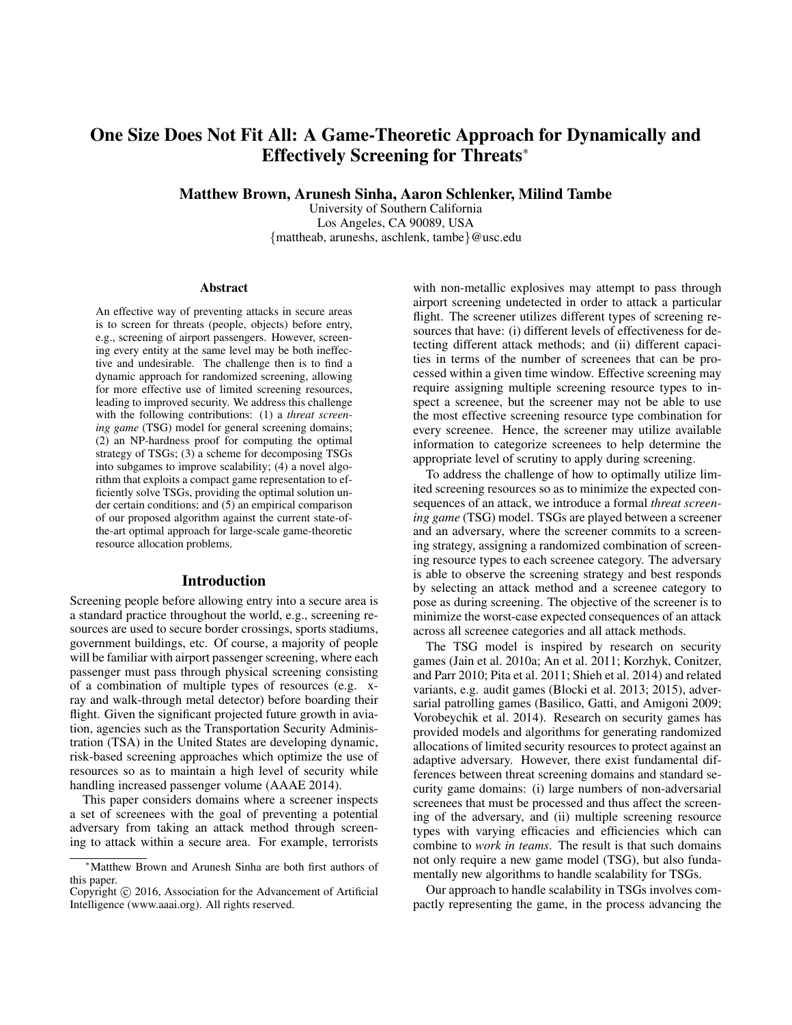# One Size Does Not Fit All: A Game-Theoretic Approach for Dynamically and Effectively Screening for Threats<sup>∗</sup>

Matthew Brown, Arunesh Sinha, Aaron Schlenker, Milind Tambe

University of Southern California Los Angeles, CA 90089, USA {mattheab, aruneshs, aschlenk, tambe}@usc.edu

#### **Abstract**

An effective way of preventing attacks in secure areas is to screen for threats (people, objects) before entry, e.g., screening of airport passengers. However, screening every entity at the same level may be both ineffective and undesirable. The challenge then is to find a dynamic approach for randomized screening, allowing for more effective use of limited screening resources, leading to improved security. We address this challenge with the following contributions: (1) a *threat screening game* (TSG) model for general screening domains; (2) an NP-hardness proof for computing the optimal strategy of TSGs; (3) a scheme for decomposing TSGs into subgames to improve scalability; (4) a novel algorithm that exploits a compact game representation to efficiently solve TSGs, providing the optimal solution under certain conditions; and (5) an empirical comparison of our proposed algorithm against the current state-ofthe-art optimal approach for large-scale game-theoretic resource allocation problems.

#### Introduction

Screening people before allowing entry into a secure area is a standard practice throughout the world, e.g., screening resources are used to secure border crossings, sports stadiums, government buildings, etc. Of course, a majority of people will be familiar with airport passenger screening, where each passenger must pass through physical screening consisting of a combination of multiple types of resources (e.g. xray and walk-through metal detector) before boarding their flight. Given the significant projected future growth in aviation, agencies such as the Transportation Security Administration (TSA) in the United States are developing dynamic, risk-based screening approaches which optimize the use of resources so as to maintain a high level of security while handling increased passenger volume (AAAE 2014).

This paper considers domains where a screener inspects a set of screenees with the goal of preventing a potential adversary from taking an attack method through screening to attack within a secure area. For example, terrorists

with non-metallic explosives may attempt to pass through airport screening undetected in order to attack a particular flight. The screener utilizes different types of screening resources that have: (i) different levels of effectiveness for detecting different attack methods; and (ii) different capacities in terms of the number of screenees that can be processed within a given time window. Effective screening may require assigning multiple screening resource types to inspect a screenee, but the screener may not be able to use the most effective screening resource type combination for every screenee. Hence, the screener may utilize available information to categorize screenees to help determine the appropriate level of scrutiny to apply during screening.

To address the challenge of how to optimally utilize limited screening resources so as to minimize the expected consequences of an attack, we introduce a formal *threat screening game* (TSG) model. TSGs are played between a screener and an adversary, where the screener commits to a screening strategy, assigning a randomized combination of screening resource types to each screenee category. The adversary is able to observe the screening strategy and best responds by selecting an attack method and a screenee category to pose as during screening. The objective of the screener is to minimize the worst-case expected consequences of an attack across all screenee categories and all attack methods.

The TSG model is inspired by research on security games (Jain et al. 2010a; An et al. 2011; Korzhyk, Conitzer, and Parr 2010; Pita et al. 2011; Shieh et al. 2014) and related variants, e.g. audit games (Blocki et al. 2013; 2015), adversarial patrolling games (Basilico, Gatti, and Amigoni 2009; Vorobeychik et al. 2014). Research on security games has provided models and algorithms for generating randomized allocations of limited security resources to protect against an adaptive adversary. However, there exist fundamental differences between threat screening domains and standard security game domains: (i) large numbers of non-adversarial screenees that must be processed and thus affect the screening of the adversary, and (ii) multiple screening resource types with varying efficacies and efficiencies which can combine to *work in teams*. The result is that such domains not only require a new game model (TSG), but also fundamentally new algorithms to handle scalability for TSGs.

Our approach to handle scalability in TSGs involves compactly representing the game, in the process advancing the

<sup>∗</sup>Matthew Brown and Arunesh Sinha are both first authors of this paper.

Copyright © 2016, Association for the Advancement of Artificial Intelligence (www.aaai.org). All rights reserved.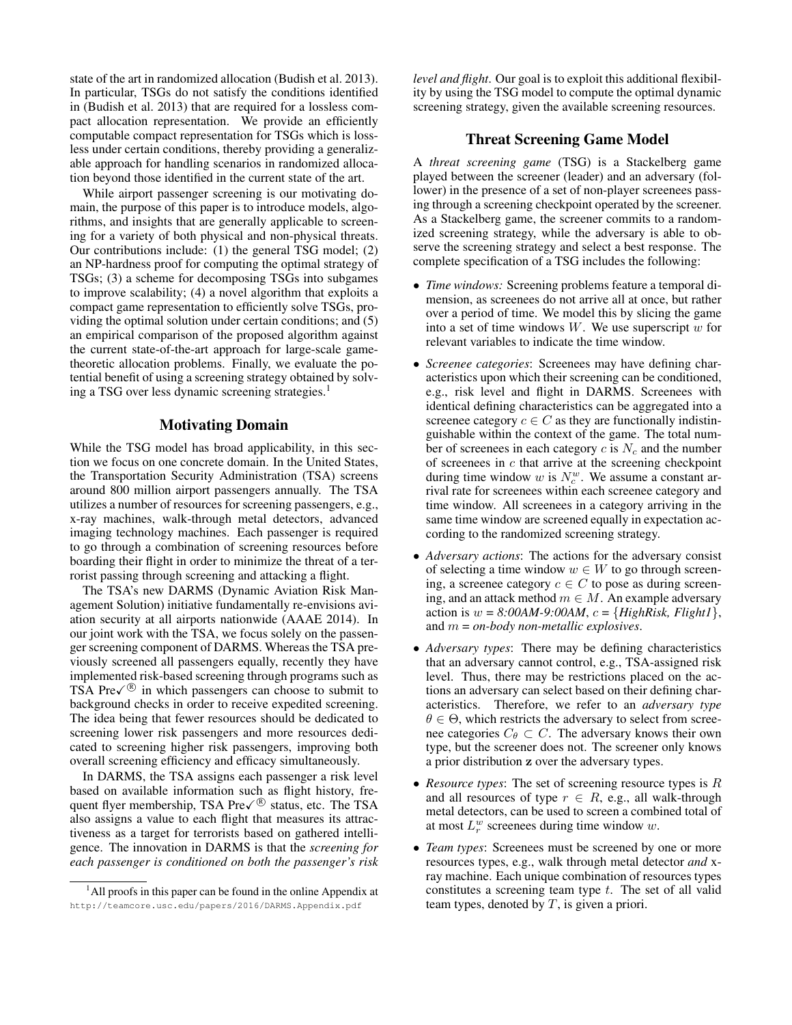state of the art in randomized allocation (Budish et al. 2013). In particular, TSGs do not satisfy the conditions identified in (Budish et al. 2013) that are required for a lossless compact allocation representation. We provide an efficiently computable compact representation for TSGs which is lossless under certain conditions, thereby providing a generalizable approach for handling scenarios in randomized allocation beyond those identified in the current state of the art.

While airport passenger screening is our motivating domain, the purpose of this paper is to introduce models, algorithms, and insights that are generally applicable to screening for a variety of both physical and non-physical threats. Our contributions include: (1) the general TSG model; (2) an NP-hardness proof for computing the optimal strategy of TSGs; (3) a scheme for decomposing TSGs into subgames to improve scalability; (4) a novel algorithm that exploits a compact game representation to efficiently solve TSGs, providing the optimal solution under certain conditions; and (5) an empirical comparison of the proposed algorithm against the current state-of-the-art approach for large-scale gametheoretic allocation problems. Finally, we evaluate the potential benefit of using a screening strategy obtained by solving a TSG over less dynamic screening strategies.<sup>1</sup>

# Motivating Domain

While the TSG model has broad applicability, in this section we focus on one concrete domain. In the United States, the Transportation Security Administration (TSA) screens around 800 million airport passengers annually. The TSA utilizes a number of resources for screening passengers, e.g., x-ray machines, walk-through metal detectors, advanced imaging technology machines. Each passenger is required to go through a combination of screening resources before boarding their flight in order to minimize the threat of a terrorist passing through screening and attacking a flight.

The TSA's new DARMS (Dynamic Aviation Risk Management Solution) initiative fundamentally re-envisions aviation security at all airports nationwide (AAAE 2014). In our joint work with the TSA, we focus solely on the passenger screening component of DARMS. Whereas the TSA previously screened all passengers equally, recently they have implemented risk-based screening through programs such as TSA Pre $\sqrt{\mathcal{P}}$  in which passengers can choose to submit to background checks in order to receive expedited screening. The idea being that fewer resources should be dedicated to screening lower risk passengers and more resources dedicated to screening higher risk passengers, improving both overall screening efficiency and efficacy simultaneously.

In DARMS, the TSA assigns each passenger a risk level based on available information such as flight history, frequent flyer membership, TSA Pre $\sqrt{\mathcal{B}}$  status, etc. The TSA also assigns a value to each flight that measures its attractiveness as a target for terrorists based on gathered intelligence. The innovation in DARMS is that the *screening for each passenger is conditioned on both the passenger's risk* *level and flight*. Our goal is to exploit this additional flexibility by using the TSG model to compute the optimal dynamic screening strategy, given the available screening resources.

#### Threat Screening Game Model

A *threat screening game* (TSG) is a Stackelberg game played between the screener (leader) and an adversary (follower) in the presence of a set of non-player screenees passing through a screening checkpoint operated by the screener. As a Stackelberg game, the screener commits to a randomized screening strategy, while the adversary is able to observe the screening strategy and select a best response. The complete specification of a TSG includes the following:

- *Time windows:* Screening problems feature a temporal dimension, as screenees do not arrive all at once, but rather over a period of time. We model this by slicing the game into a set of time windows  $W$ . We use superscript  $w$  for relevant variables to indicate the time window.
- *Screenee categories*: Screenees may have defining characteristics upon which their screening can be conditioned, e.g., risk level and flight in DARMS. Screenees with identical defining characteristics can be aggregated into a screenee category  $c \in C$  as they are functionally indistinguishable within the context of the game. The total number of screenees in each category  $c$  is  $N_c$  and the number of screenees in  $c$  that arrive at the screening checkpoint during time window  $w$  is  $N_c^w$ . We assume a constant arrival rate for screenees within each screenee category and time window. All screenees in a category arriving in the same time window are screened equally in expectation according to the randomized screening strategy.
- *Adversary actions*: The actions for the adversary consist of selecting a time window  $w \in W$  to go through screening, a screenee category  $c \in C$  to pose as during screening, and an attack method  $m \in M$ . An example adversary action is  $w = 8:00AM-9:00AM$ ,  $c = {HighRisk, Flight1}$ , and m = *on-body non-metallic explosives*.
- *Adversary types*: There may be defining characteristics that an adversary cannot control, e.g., TSA-assigned risk level. Thus, there may be restrictions placed on the actions an adversary can select based on their defining characteristics. Therefore, we refer to an *adversary type*  $\theta \in \Theta$ , which restricts the adversary to select from screenee categories  $C_{\theta} \subset C$ . The adversary knows their own type, but the screener does not. The screener only knows a prior distribution z over the adversary types.
- *Resource types*: The set of screening resource types is R and all resources of type  $r \in R$ , e.g., all walk-through metal detectors, can be used to screen a combined total of at most  $L_r^w$  screenees during time window w.
- *Team types*: Screenees must be screened by one or more resources types, e.g., walk through metal detector *and* xray machine. Each unique combination of resources types constitutes a screening team type  $t$ . The set of all valid team types, denoted by  $T$ , is given a priori.

<sup>&</sup>lt;sup>1</sup>All proofs in this paper can be found in the online Appendix at http://teamcore.usc.edu/papers/2016/DARMS.Appendix.pdf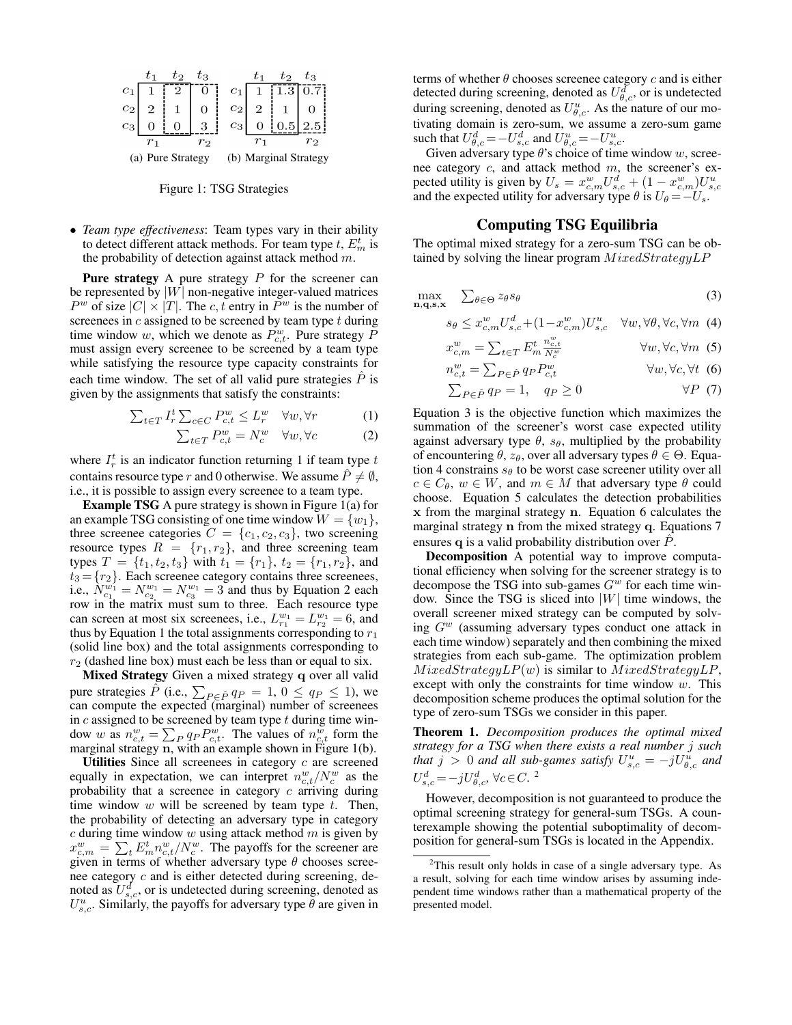

Figure 1: TSG Strategies

• *Team type effectiveness*: Team types vary in their ability to detect different attack methods. For team type  $t$ ,  $E_m^t$  is the probability of detection against attack method  $m$ .

**Pure strategy** A pure strategy  $P$  for the screener can be represented by  $|W|$  non-negative integer-valued matrices  $P^w$  of size  $|C| \times |T|$ . The c, t entry in  $P^w$  is the number of screenees in  $c$  assigned to be screened by team type  $t$  during time window w, which we denote as  $P_{c,t}^w$ . Pure strategy  $\overline{P}_{c,t}$ must assign every screenee to be screened by a team type while satisfying the resource type capacity constraints for each time window. The set of all valid pure strategies  $\hat{P}$  is given by the assignments that satisfy the constraints:

$$
\sum_{t \in T} I_r^t \sum_{c \in C} P_{c,t}^w \le L_r^w \quad \forall w, \forall r \tag{1}
$$

$$
\sum_{t \in T} P_{c,t}^w = N_c^w \quad \forall w, \forall c \tag{2}
$$

where  $I_r^t$  is an indicator function returning 1 if team type  $t$ contains resource type r and 0 otherwise. We assume  $\hat{P} \neq \emptyset$ , i.e., it is possible to assign every screenee to a team type.

Example TSG A pure strategy is shown in Figure 1(a) for an example TSG consisting of one time window  $W = \{w_1\},\$ three screenee categories  $C = \{c_1, c_2, c_3\}$ , two screening resource types  $R = \{r_1, r_2\}$ , and three screening team types  $T = \{t_1, t_2, t_3\}$  with  $t_1 = \{r_1\}, t_2 = \{r_1, r_2\}$ , and  $t_3 = \{r_2\}$ . Each screenee category contains three screenees, i.e.,  $N_{c_1}^{w_1} = N_{c_2}^{w_1} = N_{c_3}^{w_1} = 3$  and thus by Equation 2 each row in the matrix must sum to three. Each resource type can screen at most six screenees, i.e.,  $L_{r_1}^{w_1} = L_{r_2}^{w_1} = 6$ , and thus by Equation 1 the total assignments corresponding to  $r_1$ (solid line box) and the total assignments corresponding to  $r_2$  (dashed line box) must each be less than or equal to six.

Mixed Strategy Given a mixed strategy q over all valid pure strategies  $\hat{P}$  (i.e.,  $\sum_{P \in \hat{P}} q_P = 1, 0 \le q_P \le 1$ ), we can compute the expected (marginal) number of screenees in  $c$  assigned to be screened by team type  $t$  during time window w as  $n_{c,t}^w = \sum_P q_P P_{c,t}^w$ . The values of  $n_{c,t}^w$  form the marginal strategy n, with an example shown in Figure 1(b).

Utilities Since all screenees in category  $c$  are screened equally in expectation, we can interpret  $n_{c,t}^w/N_c^w$  as the probability that a screenee in category  $c$  arriving during time window  $w$  will be screened by team type  $t$ . Then, the probability of detecting an adversary type in category  $c$  during time window  $w$  using attack method  $m$  is given by  $x_{c,m}^w = \sum_t E_m^t n_{c,t}^w / N_c^w$ . The payoffs for the screener are given in terms of whether adversary type  $\theta$  chooses screenee category c and is either detected during screening, denoted as  $U_{s,c}^d$ , or is undetected during screening, denoted as  $U_{s,c}^u$ . Similarly, the payoffs for adversary type  $\bar{\theta}$  are given in

terms of whether  $\theta$  chooses screenee category  $c$  and is either detected during screening, denoted as  $U_{\theta,c}^d$ , or is undetected during screening, denoted as  $U_{\theta,c}^u$ . As the nature of our motivating domain is zero-sum, we assume a zero-sum game such that  $U_{\theta,c}^d = -U_{s,c}^d$  and  $U_{\theta,c}^u = -U_{s,c}^u$ .

Given adversary type  $\theta$ 's choice of time window w, screenee category c, and attack method m, the screener's expected utility is given by  $U_s = x_{c,m}^w U_{s,c}^d + (1 - x_{c,m}^w)U_{s,c}^u$ <br>and the expected utility for adversary type  $\theta$  is  $U_{\theta} = -U_s$ .

# Computing TSG Equilibria

The optimal mixed strategy for a zero-sum TSG can be obtained by solving the linear program  $MixedStrategyLP$ 

$$
\max_{\mathbf{n},\mathbf{q},\mathbf{s},\mathbf{x}} \quad \sum_{\theta \in \Theta} z_{\theta} s_{\theta} \tag{3}
$$

$$
s_{\theta} \le x_{c,m}^w U_{s,c}^d + (1 - x_{c,m}^w) U_{s,c}^u \quad \forall w, \forall \theta, \forall c, \forall m \tag{4}
$$

$$
x_{c,m}^w = \sum_{t \in T} E_m^t \frac{n_{c,t}^w}{N_c^w} \qquad \forall w, \forall c, \forall m \tag{5}
$$

$$
n_{c,t}^w = \sum_{P \in \hat{P}} q_P P_{c,t}^w \qquad \forall w, \forall c, \forall t \tag{6}
$$

$$
\sum_{P \in \hat{P}} q_P = 1, \quad q_P \ge 0 \qquad \forall P \tag{7}
$$

Equation 3 is the objective function which maximizes the summation of the screener's worst case expected utility against adversary type  $\theta$ ,  $s_{\theta}$ , multiplied by the probability of encountering  $\theta$ ,  $z_{\theta}$ , over all adversary types  $\theta \in \Theta$ . Equation 4 constrains  $s_{\theta}$  to be worst case screener utility over all  $c \in C_\theta$ ,  $w \in W$ , and  $m \in M$  that adversary type  $\theta$  could choose. Equation 5 calculates the detection probabilities x from the marginal strategy n. Equation 6 calculates the marginal strategy n from the mixed strategy q. Equations 7 ensures q is a valid probability distribution over  $P$ .

Decomposition A potential way to improve computational efficiency when solving for the screener strategy is to decompose the TSG into sub-games  $G<sup>w</sup>$  for each time window. Since the TSG is sliced into  $|W|$  time windows, the overall screener mixed strategy can be computed by solving  $G^w$  (assuming adversary types conduct one attack in each time window) separately and then combining the mixed strategies from each sub-game. The optimization problem  $MixedStrategyLP(w)$  is similar to  $MixedStrategyLP$ , except with only the constraints for time window  $w$ . This decomposition scheme produces the optimal solution for the type of zero-sum TSGs we consider in this paper.

Theorem 1. *Decomposition produces the optimal mixed strategy for a TSG when there exists a real number* j *such that*  $j > 0$  and all sub-games satisfy  $U_{s,c}^u = -jU_{\theta,c}^u$  and  $U_{s,c}^d = -jU_{\theta,c}^d, \forall c \in C$ .<sup>2</sup>

However, decomposition is not guaranteed to produce the optimal screening strategy for general-sum TSGs. A counterexample showing the potential suboptimality of decomposition for general-sum TSGs is located in the Appendix.

 $2$ This result only holds in case of a single adversary type. As a result, solving for each time window arises by assuming independent time windows rather than a mathematical property of the presented model.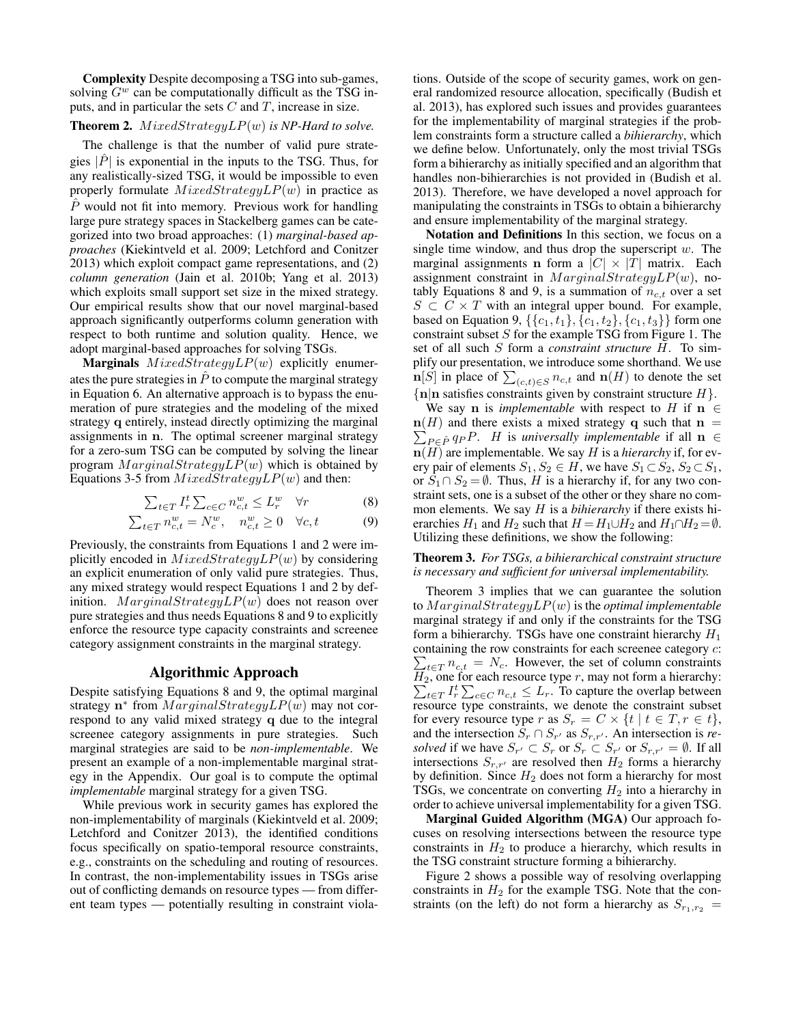Complexity Despite decomposing a TSG into sub-games, solving  $G^w$  can be computationally difficult as the TSG inputs, and in particular the sets  $C$  and  $T$ , increase in size.

# **Theorem 2.**  $MixedStrategyLP(w)$  *is NP-Hard to solve.*

The challenge is that the number of valid pure strategies  $|P|$  is exponential in the inputs to the TSG. Thus, for any realistically-sized TSG, it would be impossible to even properly formulate  $MixedStrategyLP(w)$  in practice as  $\hat{P}$  would not fit into memory. Previous work for handling large pure strategy spaces in Stackelberg games can be categorized into two broad approaches: (1) *marginal-based approaches* (Kiekintveld et al. 2009; Letchford and Conitzer 2013) which exploit compact game representations, and (2) *column generation* (Jain et al. 2010b; Yang et al. 2013) which exploits small support set size in the mixed strategy. Our empirical results show that our novel marginal-based approach significantly outperforms column generation with respect to both runtime and solution quality. Hence, we adopt marginal-based approaches for solving TSGs.

**Marginals**  $MixedStrategyLP(w)$  explicitly enumerates the pure strategies in  $\hat{P}$  to compute the marginal strategy in Equation 6. An alternative approach is to bypass the enumeration of pure strategies and the modeling of the mixed strategy q entirely, instead directly optimizing the marginal assignments in n. The optimal screener marginal strategy for a zero-sum TSG can be computed by solving the linear program  $MarqinalStrategyLP(w)$  which is obtained by Equations 3-5 from  $MixedStrategyLP(w)$  and then:

$$
\sum_{t \in T} I_r^t \sum_{c \in C} n_{c,t}^w \le L_r^w \quad \forall r \tag{8}
$$

$$
\sum_{t \in T} n_{c,t}^w = N_c^w, \quad n_{c,t}^w \ge 0 \quad \forall c, t \tag{9}
$$

Previously, the constraints from Equations 1 and 2 were implicitly encoded in  $MixedStrategyLP(w)$  by considering an explicit enumeration of only valid pure strategies. Thus, any mixed strategy would respect Equations 1 and 2 by definition.  $MarginalStrategyLP(w)$  does not reason over pure strategies and thus needs Equations 8 and 9 to explicitly enforce the resource type capacity constraints and screenee category assignment constraints in the marginal strategy.

#### Algorithmic Approach

Despite satisfying Equations 8 and 9, the optimal marginal strategy n<sup>\*</sup> from  $MarginalStrategyLP(w)$  may not correspond to any valid mixed strategy q due to the integral screenee category assignments in pure strategies. Such marginal strategies are said to be *non-implementable*. We present an example of a non-implementable marginal strategy in the Appendix. Our goal is to compute the optimal *implementable* marginal strategy for a given TSG.

While previous work in security games has explored the non-implementability of marginals (Kiekintveld et al. 2009; Letchford and Conitzer 2013), the identified conditions focus specifically on spatio-temporal resource constraints, e.g., constraints on the scheduling and routing of resources. In contrast, the non-implementability issues in TSGs arise out of conflicting demands on resource types — from different team types — potentially resulting in constraint viola-

tions. Outside of the scope of security games, work on general randomized resource allocation, specifically (Budish et al. 2013), has explored such issues and provides guarantees for the implementability of marginal strategies if the problem constraints form a structure called a *bihierarchy*, which we define below. Unfortunately, only the most trivial TSGs form a bihierarchy as initially specified and an algorithm that handles non-bihierarchies is not provided in (Budish et al. 2013). Therefore, we have developed a novel approach for manipulating the constraints in TSGs to obtain a bihierarchy and ensure implementability of the marginal strategy.

Notation and Definitions In this section, we focus on a single time window, and thus drop the superscript  $w$ . The marginal assignments **n** form a  $|C| \times |T|$  matrix. Each assignment constraint in  $MarginalStrategyLP(w)$ , notably Equations 8 and 9, is a summation of  $n_{c,t}$  over a set  $S \subset C \times T$  with an integral upper bound. For example, based on Equation 9,  $\{\{c_1, t_1\}, \{c_1, t_2\}, \{c_1, t_3\}\}\$ form one constraint subset  $S$  for the example TSG from Figure 1. The set of all such S form a *constraint structure* H. To simplify our presentation, we introduce some shorthand. We use  $\mathbf{n}[S]$  in place of  $\sum_{(c,t)\in S} n_{c,t}$  and  $\mathbf{n}(H)$  to denote the set  ${n|n}$  satisfies constraints given by constraint structure  $H$ .

We say **n** is *implementable* with respect to H if  $n \in$  $\mathbf{n}(H)$  and there exists a mixed strategy q such that  $\mathbf{n} =$  $\sum_{P \in \hat{P}} q_P P$ . *H* is *universally implementable* if all **n** ∈  $n(H)$  are implementable. We say H is a *hierarchy* if, for every pair of elements  $S_1, S_2 \in H$ , we have  $S_1 \subset S_2$ ,  $S_2 \subset S_1$ , or  $S_1 \cap S_2 = \emptyset$ . Thus, H is a hierarchy if, for any two constraint sets, one is a subset of the other or they share no common elements. We say H is a *bihierarchy* if there exists hierarchies  $H_1$  and  $H_2$  such that  $H = H_1 \cup H_2$  and  $H_1 \cap H_2 = \emptyset$ . Utilizing these definitions, we show the following:

#### Theorem 3. *For TSGs, a bihierarchical constraint structure is necessary and sufficient for universal implementability.*

Theorem 3 implies that we can guarantee the solution to  $MarginalStrategyLP(w)$  is the *optimal implementable* marginal strategy if and only if the constraints for the TSG form a bihierarchy. TSGs have one constraint hierarchy  $H_1$ containing the row constraints for each screenee category c:  $\sum_{t \in T} n_{c,t} = N_c$ . However, the set of column constraints  $H_2$ , one for each resource type r, may not form a hierarchy:  $\sum_{t \in T} I_r^t \sum_{c \in C} n_{c,t} \leq L_r$ . To capture the overlap between resource type constraints, we denote the constraint subset for every resource type r as  $S_r = C \times \{t \mid t \in T, r \in t\},\$ and the intersection  $S_r \cap S_{r'}$  as  $S_{r,r'}$ . An intersection is *resolved* if we have  $S_{r'} \subset S_r$  or  $S_r \subset S_{r'}$  or  $S_{r,r'} = \emptyset$ . If all intersections  $S_{r,r'}$  are resolved then  $H_2$  forms a hierarchy by definition. Since  $H_2$  does not form a hierarchy for most TSGs, we concentrate on converting  $H_2$  into a hierarchy in order to achieve universal implementability for a given TSG.

Marginal Guided Algorithm (MGA) Our approach focuses on resolving intersections between the resource type constraints in  $H_2$  to produce a hierarchy, which results in the TSG constraint structure forming a bihierarchy.

Figure 2 shows a possible way of resolving overlapping constraints in  $H_2$  for the example TSG. Note that the constraints (on the left) do not form a hierarchy as  $S_{r_1,r_2}$  =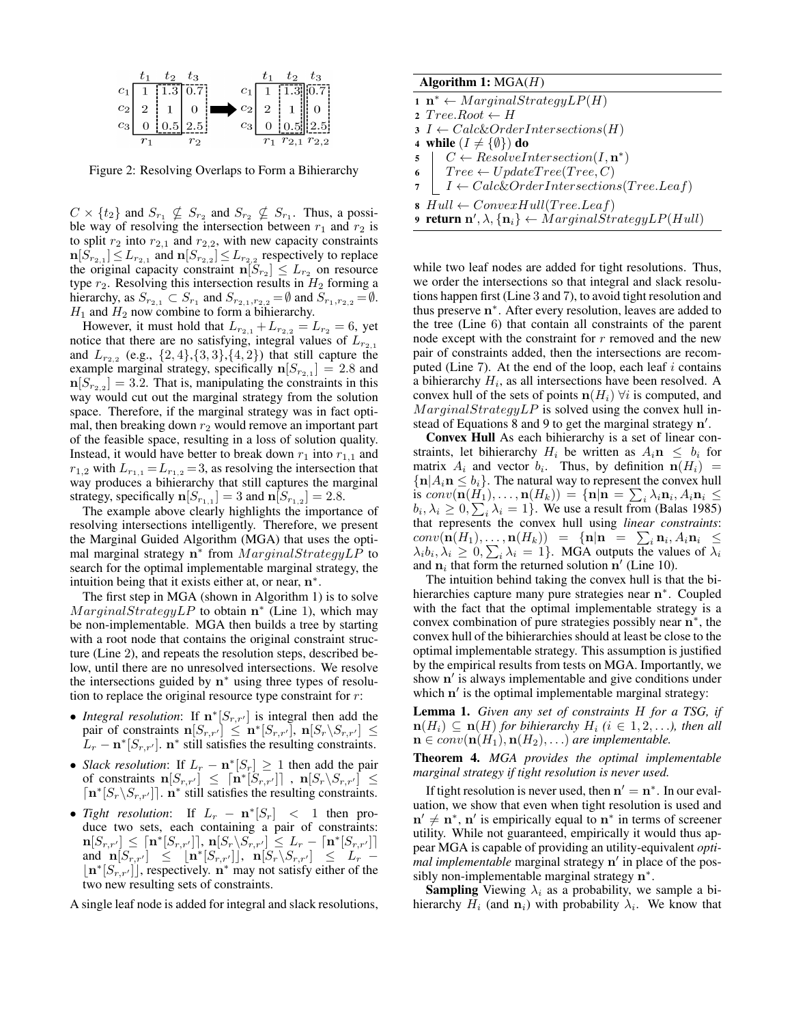

Figure 2: Resolving Overlaps to Form a Bihierarchy

 $C \times \{t_2\}$  and  $S_{r_1} \nsubseteq S_{r_2}$  and  $S_{r_2} \nsubseteq S_{r_1}$ . Thus, a possible way of resolving the intersection between  $r_1$  and  $r_2$  is to split  $r_2$  into  $r_{2,1}$  and  $r_{2,2}$ , with new capacity constraints  $\mathbf{n}[S_{r_{2,1}}] \leq L_{r_{2,1}}$  and  $\mathbf{n}[S_{r_{2,2}}] \leq L_{r_{2,2}}$  respectively to replace the original capacity constraint  $\mathbf{n}[S_{r_2}] \leq L_{r_2}$  on resource type  $r_2$ . Resolving this intersection results in  $H_2$  forming a hierarchy, as  $S_{r_{2,1}} \subset S_{r_1}$  and  $S_{r_{2,1},r_{2,2}} = \emptyset$  and  $S_{r_1,r_{2,2}} = \emptyset$ .  $H_1$  and  $H_2$  now combine to form a bihierarchy.

However, it must hold that  $L_{r_{2,1}} + L_{r_{2,2}} = L_{r_2} = 6$ , yet notice that there are no satisfying, integral values of  $L_{r_{2,1}}$ and  $L_{r_{2,2}}$  (e.g.,  $\{2,4\}, \{3,3\}, \{4,2\}$ ) that still capture the example marginal strategy, specifically  $\mathbf{n}[S_{r_2,1}] = 2.8$  and  $n[S_{r_{2,2}}] = 3.2$ . That is, manipulating the constraints in this way would cut out the marginal strategy from the solution space. Therefore, if the marginal strategy was in fact optimal, then breaking down  $r_2$  would remove an important part of the feasible space, resulting in a loss of solution quality. Instead, it would have better to break down  $r_1$  into  $r_{1,1}$  and  $r_{1,2}$  with  $L_{r_{1,1}} = L_{r_{1,2}} = 3$ , as resolving the intersection that way produces a bihierarchy that still captures the marginal strategy, specifically  $\mathbf{n}[S_{r_{1,1}}] = 3$  and  $\mathbf{n}[S_{r_{1,2}}] = 2.8$ .

The example above clearly highlights the importance of resolving intersections intelligently. Therefore, we present the Marginal Guided Algorithm (MGA) that uses the optimal marginal strategy  $n^*$  from  $MarginalStrategyLP$  to search for the optimal implementable marginal strategy, the intuition being that it exists either at, or near,  $n^*$ .

The first step in MGA (shown in Algorithm 1) is to solve  $MarginalStrategyLP$  to obtain n<sup>\*</sup> (Line 1), which may be non-implementable. MGA then builds a tree by starting with a root node that contains the original constraint structure (Line 2), and repeats the resolution steps, described below, until there are no unresolved intersections. We resolve the intersections guided by  $n^*$  using three types of resolution to replace the original resource type constraint for  $r$ :

- *Integral resolution*: If  $\mathbf{n}$ <sup>\*</sup>[ $S_{r,r'}$ ] is integral then add the pair of constraints  $\mathbf{n}[S_{r,r'}] \leq \mathbf{n}^*[S_{r,r'}], \, \mathbf{n}[S_r \backslash S_{r,r'}] \leq$  $L_r - \mathbf{n}^*[S_{r,r'}]$ .  $\mathbf{n}^*$  still satisfies the resulting constraints.
- *Slack resolution*: If  $L_r \mathbf{n}^*[S_r] \geq 1$  then add the pair of constraints  $\mathbf{n}[S_{r,r'}] \leq [\mathbf{n}^*[S_{r,r'}]]$  ,  $\mathbf{n}[S_r \backslash S_{r,r'}] \leq$  $\lceil {\bf n}^*[S_r \backslash S_{r,r'}]\rceil$ .  ${\bf n}^*$  still satisfies the resulting constraints.
- *Tight resolution*: If  $L_r \mathbf{n}^*[S_r] < 1$  then produce two sets, each containing a pair of constraints:  $\mathbf{n}[S_{r,r'}]\,\leq\, \lceil \mathbf{n}^*[S_{r,r'}]\rceil,\, \mathbf{n}[S_{r}\backslash \bar{S_{r,r'}}]\,\leq\, L_{r} \,-\, \lceil \mathbf{n}^*[S_{r,r'}]\rceil,$  $\text{and} \left[\mathbf{S}_{r,r'}\right] \leq \left[\mathbf{n}^*[S_{r,r'}]\right], \left[\mathbf{n}[S_{r}\backslash S_{r,r'}]\right] \leq L_r - 1$  $\lfloor n^*[S_{r,r'}] \rfloor$ , respectively.  $n^*$  may not satisfy either of the two new resulting sets of constraints.

A single leaf node is added for integral and slack resolutions,

# Algorithm 1:  $MGA(H)$

 $\mathbf{n}^* \leftarrow MarginalStrategyLP(H)$ 

2  $TreeRoot \leftarrow H$ 

- $3 I \leftarrow Calc&OrderIntersections(H)$
- 4 while  $(I \neq {\emptyset})$  do
- $5 \mid C \leftarrow ResolveIntersection(I, n^*)$
- 6  $Tree \leftarrow UpdateTree(Tree, C)$
- $I \leftarrow Calc&OrderIntersections(Tree.Lea f)$
- 8  $Hull \leftarrow ConvexHull(Tree.Leaf)$
- 9 return n',  $\lambda, \{ {\bf n}_i \} \leftarrow \dot {M} arginal \dot {Str} a tegyLP(Hull)$

while two leaf nodes are added for tight resolutions. Thus, we order the intersections so that integral and slack resolutions happen first (Line 3 and 7), to avoid tight resolution and thus preserve n ∗ . After every resolution, leaves are added to the tree (Line 6) that contain all constraints of the parent node except with the constraint for r removed and the new pair of constraints added, then the intersections are recomputed (Line 7). At the end of the loop, each leaf  $i$  contains a bihierarchy  $H_i$ , as all intersections have been resolved. A convex hull of the sets of points  $n(H_i)$   $\forall i$  is computed, and  $MarginalStrategyLP$  is solved using the convex hull instead of Equations  $8$  and  $9$  to get the marginal strategy  $n'$ .

Convex Hull As each bihierarchy is a set of linear constraints, let bihierarchy  $H_i$  be written as  $A_i \mathbf{n} \leq b_i$  for matrix  $A_i$  and vector  $b_i$ . Thus, by definition  $\mathbf{n}(H_i)$  =  $\{\mathbf{n}|A_i\mathbf{n} \leq b_i\}$ . The natural way to represent the convex hull is  $conv(\mathbf{n}(H_1), \ldots, \mathbf{n}(H_k)) = \{ \mathbf{n} | \mathbf{n} = \sum_i \lambda_i \mathbf{n}_i, A_i \mathbf{n}_i \leq$  $b_i, \lambda_i \geq 0, \sum_i \lambda_i = 1$ . We use a result from (Balas 1985) that represents the convex hull using *linear constraints*:  $conv(\mathbf{n}(H_1),...,\mathbf{n}(H_k)) = {\mathbf{n}|\mathbf{n} = \sum_i \mathbf{n}_i, A_i \mathbf{n}_i \leq$  $\lambda_i b_i, \lambda_i \geq 0, \sum_i \lambda_i = 1$ . MGA outputs the values of  $\lambda_i$ and  $n_i$  that form the returned solution  $n'$  (Line 10).

The intuition behind taking the convex hull is that the bihierarchies capture many pure strategies near n\*. Coupled with the fact that the optimal implementable strategy is a convex combination of pure strategies possibly near  $n^*$ , the convex hull of the bihierarchies should at least be close to the optimal implementable strategy. This assumption is justified by the empirical results from tests on MGA. Importantly, we show n' is always implementable and give conditions under which n' is the optimal implementable marginal strategy:

Lemma 1. *Given any set of constraints* H *for a TSG, if*  $\mathbf{n}(H_i) \subseteq \mathbf{n}(H)$  *for bihierarchy*  $H_i$  ( $i \in 1, 2, \ldots$ ), then all  $\mathbf{n} \in conv(\mathbf{n}(H_1), \mathbf{n}(H_2), \ldots)$  *are implementable.* 

Theorem 4. *MGA provides the optimal implementable marginal strategy if tight resolution is never used.*

If tight resolution is never used, then  $n' = n^*$ . In our evaluation, we show that even when tight resolution is used and  $n' \neq n^*$ , n' is empirically equal to  $n^*$  in terms of screener utility. While not guaranteed, empirically it would thus appear MGA is capable of providing an utility-equivalent *optimal implementable* marginal strategy n' in place of the possibly non-implementable marginal strategy  $n^*$ .

**Sampling** Viewing  $\lambda_i$  as a probability, we sample a bihierarchy  $H_i$  (and  $n_i$ ) with probability  $\lambda_i$ . We know that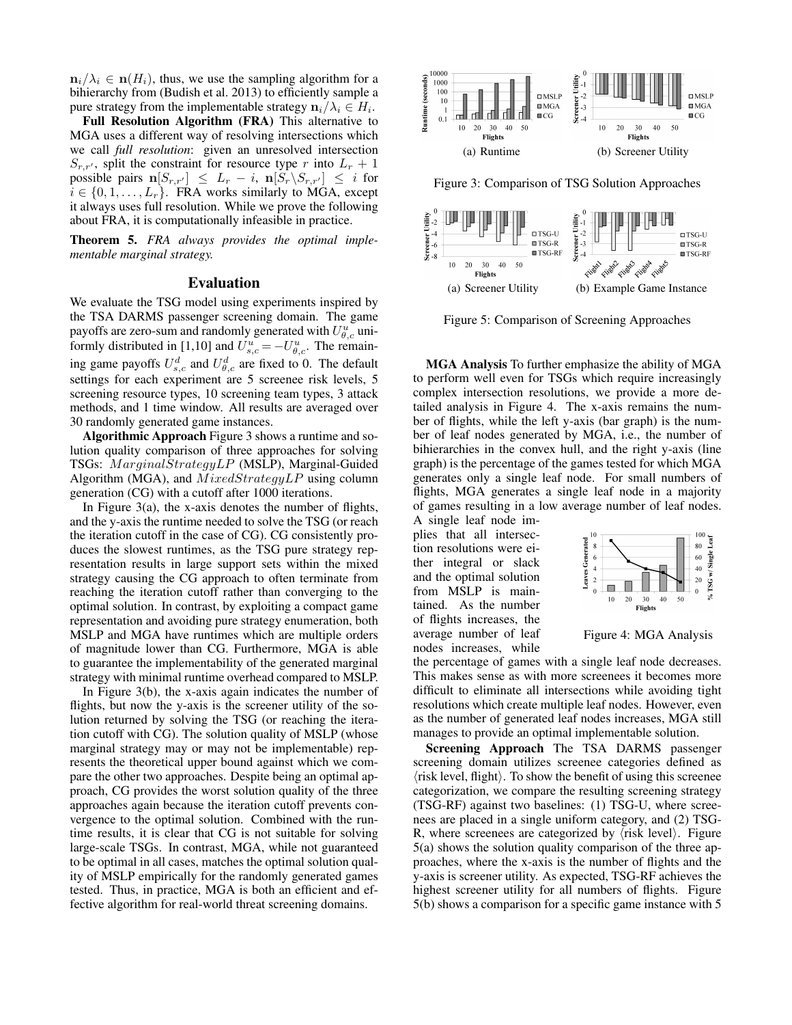$n_i/\lambda_i \in \mathbf{n}(H_i)$ , thus, we use the sampling algorithm for a bihierarchy from (Budish et al. 2013) to efficiently sample a pure strategy from the implementable strategy  $\mathbf{n}_i/\lambda_i \in H_i$ .

Full Resolution Algorithm (FRA) This alternative to MGA uses a different way of resolving intersections which we call *full resolution*: given an unresolved intersection  $S_{r,r'}$ , split the constraint for resource type r into  $L_r + 1$ possible pairs  $\mathbf{n}[S_{r,r'}] \leq L_r - i$ ,  $\mathbf{n}[S_r \backslash S_{r,r'}] \leq i$  for  $i \in \{0, 1, \ldots, L_r\}$ . FRA works similarly to MGA, except it always uses full resolution. While we prove the following about FRA, it is computationally infeasible in practice.

Theorem 5. *FRA always provides the optimal implementable marginal strategy.*

#### Evaluation

We evaluate the TSG model using experiments inspired by the TSA DARMS passenger screening domain. The game payoffs are zero-sum and randomly generated with  $U_{\theta,c}^u$  uniformly distributed in [1,10] and  $U_{s,c}^{u} = -U_{\theta,c}^{u}$ . The remaining game payoffs  $U_{s,c}^d$  and  $U_{\theta,c}^d$  are fixed to 0. The default settings for each experiment are 5 screenee risk levels, 5 screening resource types, 10 screening team types, 3 attack methods, and 1 time window. All results are averaged over 30 randomly generated game instances.

Algorithmic Approach Figure 3 shows a runtime and solution quality comparison of three approaches for solving TSGs: MarginalStrategyLP (MSLP), Marginal-Guided Algorithm (MGA), and  $MixedStrategyLP$  using column generation (CG) with a cutoff after 1000 iterations.

In Figure  $3(a)$ , the x-axis denotes the number of flights, and the y-axis the runtime needed to solve the TSG (or reach the iteration cutoff in the case of CG). CG consistently produces the slowest runtimes, as the TSG pure strategy representation results in large support sets within the mixed strategy causing the CG approach to often terminate from reaching the iteration cutoff rather than converging to the optimal solution. In contrast, by exploiting a compact game representation and avoiding pure strategy enumeration, both MSLP and MGA have runtimes which are multiple orders of magnitude lower than CG. Furthermore, MGA is able to guarantee the implementability of the generated marginal strategy with minimal runtime overhead compared to MSLP.

In Figure 3(b), the x-axis again indicates the number of flights, but now the y-axis is the screener utility of the solution returned by solving the TSG (or reaching the iteration cutoff with CG). The solution quality of MSLP (whose marginal strategy may or may not be implementable) represents the theoretical upper bound against which we compare the other two approaches. Despite being an optimal approach, CG provides the worst solution quality of the three approaches again because the iteration cutoff prevents convergence to the optimal solution. Combined with the runtime results, it is clear that CG is not suitable for solving large-scale TSGs. In contrast, MGA, while not guaranteed to be optimal in all cases, matches the optimal solution quality of MSLP empirically for the randomly generated games tested. Thus, in practice, MGA is both an efficient and effective algorithm for real-world threat screening domains.



Figure 5: Comparison of Screening Approaches

MGA Analysis To further emphasize the ability of MGA to perform well even for TSGs which require increasingly complex intersection resolutions, we provide a more detailed analysis in Figure 4. The x-axis remains the number of flights, while the left y-axis (bar graph) is the number of leaf nodes generated by MGA, i.e., the number of bihierarchies in the convex hull, and the right y-axis (line graph) is the percentage of the games tested for which MGA generates only a single leaf node. For small numbers of flights, MGA generates a single leaf node in a majority of games resulting in a low average number of leaf nodes.

A single leaf node implies that all intersection resolutions were either integral or slack and the optimal solution from MSLP is maintained. As the number of flights increases, the average number of leaf nodes increases, while



Figure 4: MGA Analysis

the percentage of games with a single leaf node decreases. This makes sense as with more screenees it becomes more difficult to eliminate all intersections while avoiding tight resolutions which create multiple leaf nodes. However, even as the number of generated leaf nodes increases, MGA still manages to provide an optimal implementable solution.

Screening Approach The TSA DARMS passenger screening domain utilizes screenee categories defined as  $\langle$ risk level, flight $\rangle$ . To show the benefit of using this screenee categorization, we compare the resulting screening strategy (TSG-RF) against two baselines: (1) TSG-U, where screenees are placed in a single uniform category, and (2) TSG-R, where screenees are categorized by  $\langle$ risk level $\rangle$ . Figure 5(a) shows the solution quality comparison of the three approaches, where the x-axis is the number of flights and the y-axis is screener utility. As expected, TSG-RF achieves the highest screener utility for all numbers of flights. Figure 5(b) shows a comparison for a specific game instance with 5